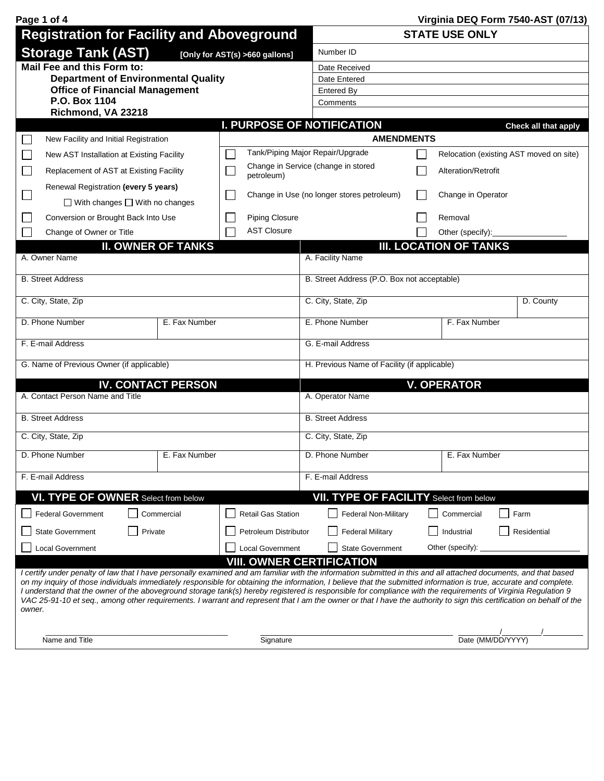| Page 1 of 4                                                                                                                                                                                                                                                                                                                                                                                                                                                                                                                                                                                                                                                                               |                                             |                                              |                               | Virginia DEQ Form 7540-AST (07/13)      |  |  |  |  |
|-------------------------------------------------------------------------------------------------------------------------------------------------------------------------------------------------------------------------------------------------------------------------------------------------------------------------------------------------------------------------------------------------------------------------------------------------------------------------------------------------------------------------------------------------------------------------------------------------------------------------------------------------------------------------------------------|---------------------------------------------|----------------------------------------------|-------------------------------|-----------------------------------------|--|--|--|--|
| <b>Registration for Facility and Aboveground</b>                                                                                                                                                                                                                                                                                                                                                                                                                                                                                                                                                                                                                                          |                                             | <b>STATE USE ONLY</b>                        |                               |                                         |  |  |  |  |
| <b>Storage Tank (AST)</b><br>[Only for AST(s) >660 gallons]                                                                                                                                                                                                                                                                                                                                                                                                                                                                                                                                                                                                                               | Number ID                                   |                                              |                               |                                         |  |  |  |  |
| Mail Fee and this Form to:                                                                                                                                                                                                                                                                                                                                                                                                                                                                                                                                                                                                                                                                | Date Received                               |                                              |                               |                                         |  |  |  |  |
| <b>Department of Environmental Quality</b>                                                                                                                                                                                                                                                                                                                                                                                                                                                                                                                                                                                                                                                | Date Entered                                |                                              |                               |                                         |  |  |  |  |
| <b>Office of Financial Management</b>                                                                                                                                                                                                                                                                                                                                                                                                                                                                                                                                                                                                                                                     |                                             | <b>Entered By</b>                            |                               |                                         |  |  |  |  |
| P.O. Box 1104                                                                                                                                                                                                                                                                                                                                                                                                                                                                                                                                                                                                                                                                             |                                             | Comments                                     |                               |                                         |  |  |  |  |
| Richmond, VA 23218                                                                                                                                                                                                                                                                                                                                                                                                                                                                                                                                                                                                                                                                        |                                             |                                              |                               |                                         |  |  |  |  |
| New Facility and Initial Registration                                                                                                                                                                                                                                                                                                                                                                                                                                                                                                                                                                                                                                                     | <b>I. PURPOSE OF NOTIFICATION</b>           | <b>AMENDMENTS</b>                            |                               | Check all that apply                    |  |  |  |  |
|                                                                                                                                                                                                                                                                                                                                                                                                                                                                                                                                                                                                                                                                                           | Tank/Piping Major Repair/Upgrade            |                                              |                               |                                         |  |  |  |  |
| New AST Installation at Existing Facility                                                                                                                                                                                                                                                                                                                                                                                                                                                                                                                                                                                                                                                 |                                             | Change in Service (change in stored          |                               | Relocation (existing AST moved on site) |  |  |  |  |
| $\mathcal{L}_{\mathcal{A}}$<br>Replacement of AST at Existing Facility                                                                                                                                                                                                                                                                                                                                                                                                                                                                                                                                                                                                                    | $\mathcal{L}$<br>petroleum)                 |                                              | Alteration/Retrofit           |                                         |  |  |  |  |
| Renewal Registration (every 5 years)                                                                                                                                                                                                                                                                                                                                                                                                                                                                                                                                                                                                                                                      |                                             | Change in Use (no longer stores petroleum)   | Change in Operator            |                                         |  |  |  |  |
| $\Box$ With changes $\Box$ With no changes                                                                                                                                                                                                                                                                                                                                                                                                                                                                                                                                                                                                                                                |                                             |                                              |                               |                                         |  |  |  |  |
| Conversion or Brought Back Into Use                                                                                                                                                                                                                                                                                                                                                                                                                                                                                                                                                                                                                                                       | <b>Piping Closure</b><br><b>AST Closure</b> |                                              | Removal                       |                                         |  |  |  |  |
| Change of Owner or Title                                                                                                                                                                                                                                                                                                                                                                                                                                                                                                                                                                                                                                                                  |                                             |                                              | Other (specify):              |                                         |  |  |  |  |
| <b>II. OWNER OF TANKS</b><br>A. Owner Name                                                                                                                                                                                                                                                                                                                                                                                                                                                                                                                                                                                                                                                |                                             | A. Facility Name                             | <b>III. LOCATION OF TANKS</b> |                                         |  |  |  |  |
| <b>B. Street Address</b>                                                                                                                                                                                                                                                                                                                                                                                                                                                                                                                                                                                                                                                                  |                                             | B. Street Address (P.O. Box not acceptable)  |                               |                                         |  |  |  |  |
| C. City, State, Zip                                                                                                                                                                                                                                                                                                                                                                                                                                                                                                                                                                                                                                                                       |                                             | C. City, State, Zip                          | D. County                     |                                         |  |  |  |  |
| D. Phone Number<br>E. Fax Number                                                                                                                                                                                                                                                                                                                                                                                                                                                                                                                                                                                                                                                          |                                             | E. Phone Number<br>F. Fax Number             |                               |                                         |  |  |  |  |
| F. E-mail Address                                                                                                                                                                                                                                                                                                                                                                                                                                                                                                                                                                                                                                                                         |                                             | G. E-mail Address                            |                               |                                         |  |  |  |  |
| G. Name of Previous Owner (if applicable)                                                                                                                                                                                                                                                                                                                                                                                                                                                                                                                                                                                                                                                 |                                             | H. Previous Name of Facility (if applicable) |                               |                                         |  |  |  |  |
| <b>IV. CONTACT PERSON</b>                                                                                                                                                                                                                                                                                                                                                                                                                                                                                                                                                                                                                                                                 |                                             | <b>V. OPERATOR</b>                           |                               |                                         |  |  |  |  |
| A. Contact Person Name and Title                                                                                                                                                                                                                                                                                                                                                                                                                                                                                                                                                                                                                                                          |                                             | A. Operator Name                             |                               |                                         |  |  |  |  |
| <b>B. Street Address</b>                                                                                                                                                                                                                                                                                                                                                                                                                                                                                                                                                                                                                                                                  |                                             | <b>B.</b> Street Address                     |                               |                                         |  |  |  |  |
| C. City, State, Zip                                                                                                                                                                                                                                                                                                                                                                                                                                                                                                                                                                                                                                                                       |                                             | C. City, State, Zip                          |                               |                                         |  |  |  |  |
| E. Fax Number<br>D. Phone Number                                                                                                                                                                                                                                                                                                                                                                                                                                                                                                                                                                                                                                                          |                                             | D. Phone Number                              | E. Fax Number                 |                                         |  |  |  |  |
| F. E-mail Address                                                                                                                                                                                                                                                                                                                                                                                                                                                                                                                                                                                                                                                                         |                                             | F. E-mail Address                            |                               |                                         |  |  |  |  |
| VI. TYPE OF OWNER Select from below                                                                                                                                                                                                                                                                                                                                                                                                                                                                                                                                                                                                                                                       |                                             | VII. TYPE OF FACILITY Select from below      |                               |                                         |  |  |  |  |
| <b>Federal Government</b><br>Commercial                                                                                                                                                                                                                                                                                                                                                                                                                                                                                                                                                                                                                                                   | Retail Gas Station                          | <b>Federal Non-Military</b>                  | Commercial                    | Farm                                    |  |  |  |  |
| Private<br><b>State Government</b>                                                                                                                                                                                                                                                                                                                                                                                                                                                                                                                                                                                                                                                        | Petroleum Distributor                       | <b>Federal Military</b>                      | Industrial                    | Residential                             |  |  |  |  |
| <b>Local Government</b>                                                                                                                                                                                                                                                                                                                                                                                                                                                                                                                                                                                                                                                                   | Local Government                            | State Government                             | Other (specify):              |                                         |  |  |  |  |
| I certify under penalty of law that I have personally examined and am familiar with the information submitted in this and all attached documents, and that based<br>on my inquiry of those individuals immediately responsible for obtaining the information, I believe that the submitted information is true, accurate and complete.<br>I understand that the owner of the aboveground storage tank(s) hereby registered is responsible for compliance with the requirements of Virginia Regulation 9<br>VAC 25-91-10 et seq., among other requirements. I warrant and represent that I am the owner or that I have the authority to sign this certification on behalf of the<br>owner. | <b>VIII. OWNER CERTIFICATION</b>            |                                              |                               |                                         |  |  |  |  |
| Name and Title                                                                                                                                                                                                                                                                                                                                                                                                                                                                                                                                                                                                                                                                            | Signature                                   |                                              | Date (MM/DD/YYYY)             |                                         |  |  |  |  |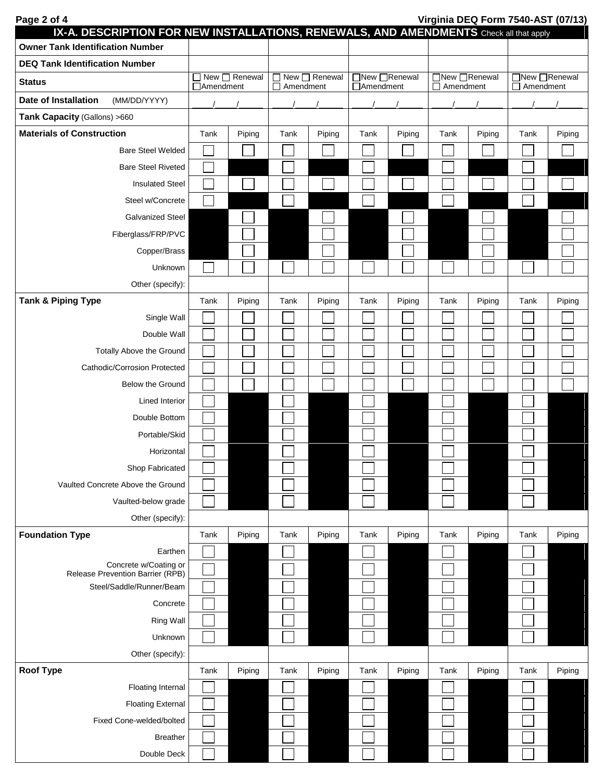| Page 2 of 4                                                                            |            |               |                                             |        |                             |        |                                   |        | Virginia DEQ Form 7540-AST (07/13) |        |
|----------------------------------------------------------------------------------------|------------|---------------|---------------------------------------------|--------|-----------------------------|--------|-----------------------------------|--------|------------------------------------|--------|
| IX-A. DESCRIPTION FOR NEW INSTALLATIONS, RENEWALS, AND AMENDMENTS Check all that apply |            |               |                                             |        |                             |        |                                   |        |                                    |        |
| <b>Owner Tank Identification Number</b>                                                |            |               |                                             |        |                             |        |                                   |        |                                    |        |
| <b>DEQ Tank Identification Number</b>                                                  |            | New □ Renewal |                                             |        |                             |        |                                   |        |                                    |        |
| <b>Status</b>                                                                          | □Amendment |               | $\Box$ New $\Box$ Renewal<br>П<br>Amendment |        | □New □Renewal<br>□Amendment |        | □New □Renewal<br>$\Box$ Amendment |        | □New □Renewal<br>$\Box$ Amendment  |        |
| <b>Date of Installation</b><br>(MM/DD/YYYY)                                            |            |               |                                             |        |                             |        |                                   |        |                                    |        |
| Tank Capacity (Gallons) >660                                                           |            |               |                                             |        |                             |        |                                   |        |                                    |        |
| <b>Materials of Construction</b>                                                       | Tank       | Piping        | Tank                                        | Piping | Tank                        | Piping | Tank                              | Piping | Tank                               | Piping |
| <b>Bare Steel Welded</b>                                                               |            |               |                                             |        |                             |        |                                   |        |                                    |        |
| <b>Bare Steel Riveted</b>                                                              |            |               |                                             |        |                             |        |                                   |        |                                    |        |
| <b>Insulated Steel</b>                                                                 |            |               |                                             |        |                             |        |                                   |        |                                    |        |
| Steel w/Concrete                                                                       |            |               |                                             |        |                             |        |                                   |        |                                    |        |
| <b>Galvanized Steel</b>                                                                |            |               |                                             |        |                             |        |                                   |        |                                    |        |
| Fiberglass/FRP/PVC                                                                     |            |               |                                             |        |                             |        |                                   |        |                                    |        |
| Copper/Brass                                                                           |            |               |                                             |        |                             |        |                                   |        |                                    |        |
| Unknown                                                                                |            |               |                                             |        |                             |        |                                   |        |                                    |        |
| Other (specify):                                                                       |            |               |                                             |        |                             |        |                                   |        |                                    |        |
| <b>Tank &amp; Piping Type</b>                                                          | Tank       | Piping        | Tank                                        | Piping | Tank                        | Piping | Tank                              | Piping | Tank                               | Piping |
| Single Wall                                                                            |            |               |                                             |        |                             |        |                                   |        |                                    |        |
| Double Wall                                                                            |            |               |                                             |        |                             |        |                                   |        |                                    |        |
| Totally Above the Ground                                                               |            |               |                                             |        |                             |        |                                   |        |                                    |        |
| Cathodic/Corrosion Protected                                                           |            |               |                                             |        |                             |        |                                   |        |                                    |        |
| Below the Ground                                                                       |            |               |                                             |        |                             |        |                                   |        |                                    |        |
| <b>Lined Interior</b>                                                                  |            |               |                                             |        |                             |        |                                   |        |                                    |        |
| Double Bottom                                                                          |            |               |                                             |        |                             |        |                                   |        |                                    |        |
| Portable/Skid                                                                          |            |               |                                             |        |                             |        |                                   |        |                                    |        |
| Horizontal                                                                             |            |               |                                             |        |                             |        |                                   |        |                                    |        |
| Shop Fabricated                                                                        |            |               |                                             |        |                             |        |                                   |        |                                    |        |
| Vaulted Concrete Above the Ground                                                      |            |               |                                             |        |                             |        |                                   |        |                                    |        |
| Vaulted-below grade                                                                    |            |               |                                             |        |                             |        |                                   |        |                                    |        |
| Other (specify):                                                                       |            |               |                                             |        |                             |        |                                   |        |                                    |        |
| <b>Foundation Type</b>                                                                 | Tank       | Piping        | Tank                                        | Piping | Tank                        | Piping | Tank                              | Piping | Tank                               | Piping |
| Earthen                                                                                |            |               |                                             |        |                             |        |                                   |        |                                    |        |
| Concrete w/Coating or<br>Release Prevention Barrier (RPB)                              |            |               |                                             |        |                             |        |                                   |        |                                    |        |
| Steel/Saddle/Runner/Beam                                                               |            |               |                                             |        |                             |        |                                   |        |                                    |        |
| Concrete                                                                               |            |               |                                             |        |                             |        |                                   |        |                                    |        |
| <b>Ring Wall</b>                                                                       |            |               |                                             |        |                             |        |                                   |        |                                    |        |
| Unknown                                                                                |            |               |                                             |        |                             |        |                                   |        |                                    |        |
| Other (specify):                                                                       |            |               |                                             |        |                             |        |                                   |        |                                    |        |
| <b>Roof Type</b>                                                                       | Tank       | Piping        | Tank                                        | Piping | Tank                        | Piping | Tank                              | Piping | Tank                               | Piping |
| <b>Floating Internal</b>                                                               |            |               |                                             |        |                             |        |                                   |        |                                    |        |
| <b>Floating External</b>                                                               |            |               |                                             |        |                             |        |                                   |        |                                    |        |
| Fixed Cone-welded/bolted                                                               |            |               |                                             |        |                             |        |                                   |        |                                    |        |
| <b>Breather</b>                                                                        |            |               |                                             |        |                             |        |                                   |        |                                    |        |
| Double Deck                                                                            |            |               |                                             |        |                             |        |                                   |        |                                    |        |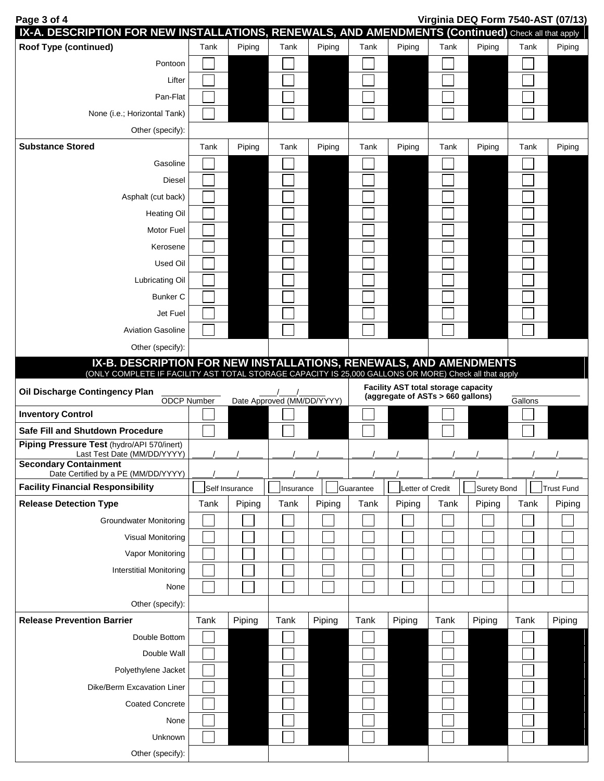**IX-A. DESCRIPTION FOR NEW INSTALLATIONS, RENEWALS, AND AMENDMENTS (Continued)** Check all that apply **Roof Type (continued)**  $\qquad \qquad$  Tank Piping Tank Piping Tank Piping Tank Piping Tank Piping Tank Piping Pontoon Lifter Pan-Flat None (i.e.; Horizontal Tank) Other (specify): **Substance Stored** Tank | Tank | Piping | Tank | Piping | Tank | Piping | Tank | Piping | Tank | Piping | Tank | Piping **Gasoline** Diesel Asphalt (cut back) Heating Oil Motor Fuel Kerosene Used Oil Lubricating Oil Bunker C Jet Fuel Aviation Gasoline Other (specify): **IX-B. DESCRIPTION FOR NEW INSTALLATIONS, RENEWALS, AND AMENDMENTS** (ONLY COMPLETE IF FACILITY AST TOTAL STORAGE CAPACITY IS 25,000 GALLONS OR MORE) Check all that apply **Oil Discharge Contingency Plan** ODCP Number  $\frac{1}{\sqrt{2\pi}}$ Date Approved (MM/DD/YYYY) **Facility AST total storage capacity** (aggregate of ASTs > 660 gallons) Gallons **Inventory Control Safe Fill and Shutdown Procedure Piping Pressure Test** (hydro/API 570/inert) Last Test Date (MM/DD/YYYY) **Secondary Containment** Date Certified by a PE (MM/DD/YYYY) **Facility Financial Responsibility** | Self Insurance | Insurance | Guarantee | Letter of Credit | Surety Bond | Trust Fund **Release Detection Type Tank | Piping | Tank | Piping | Tank | Piping | Tank | Piping | Tank | Piping | Tank | Piping** Groundwater Monitoring Visual Monitoring Vapor Monitoring Interstitial Monitoring None Other (specify): **Release Prevention Barrier Tank | Piping | Tank | Piping | Tank | Piping | Tank | Piping | Tank | Piping | Tank | Piping | Tank | Piping | Tank | Piping | Tank | Piping | Tank | Piping | Tank | Piping | Tank | Piping |** Double Bottom Double Wall Polyethylene Jacket Dike/Berm Excavation Liner Coated Concrete None Unknown Other (specify):

**Page 3 of 4 Virginia DEQ Form 7540-AST (07/13)**